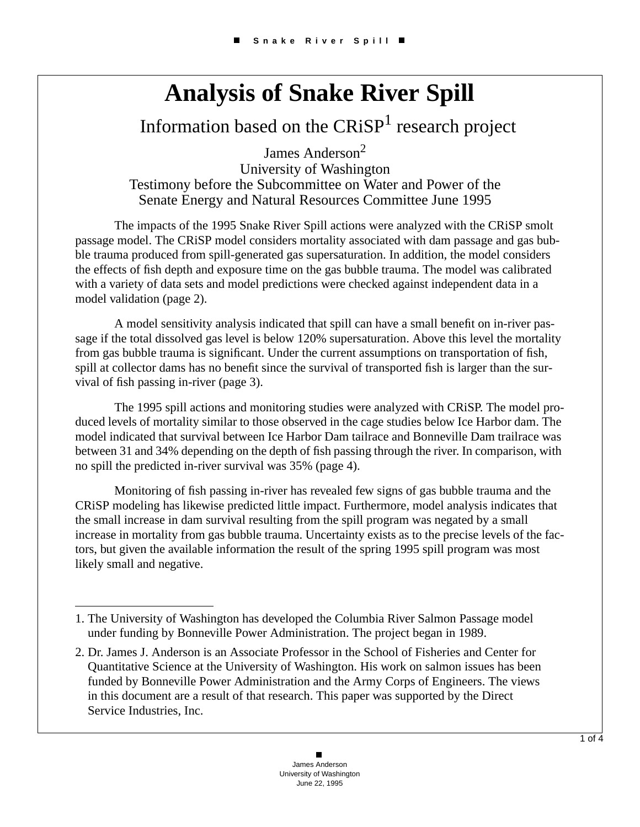## **Analysis of Snake River Spill**

Information based on the  $CRiSP<sup>1</sup>$  research project

James Anderson<sup>2</sup> University of Washington Testimony before the Subcommittee on Water and Power of the Senate Energy and Natural Resources Committee June 1995

The impacts of the 1995 Snake River Spill actions were analyzed with the CRiSP smolt passage model. The CRiSP model considers mortality associated with dam passage and gas bubble trauma produced from spill-generated gas supersaturation. In addition, the model considers the effects of fish depth and exposure time on the gas bubble trauma. The model was calibrated with a variety of data sets and model predictions were checked against independent data in a model validation (page 2).

A model sensitivity analysis indicated that spill can have a small benefit on in-river passage if the total dissolved gas level is below 120% supersaturation. Above this level the mortality from gas bubble trauma is significant. Under the current assumptions on transportation of fish, spill at collector dams has no benefit since the survival of transported fish is larger than the survival of fish passing in-river (page 3).

The 1995 spill actions and monitoring studies were analyzed with CRiSP. The model produced levels of mortality similar to those observed in the cage studies below Ice Harbor dam. The model indicated that survival between Ice Harbor Dam tailrace and Bonneville Dam trailrace was between 31 and 34% depending on the depth of fish passing through the river. In comparison, with no spill the predicted in-river survival was 35% (page 4).

Monitoring of fish passing in-river has revealed few signs of gas bubble trauma and the CRiSP modeling has likewise predicted little impact. Furthermore, model analysis indicates that the small increase in dam survival resulting from the spill program was negated by a small increase in mortality from gas bubble trauma. Uncertainty exists as to the precise levels of the factors, but given the available information the result of the spring 1995 spill program was most likely small and negative.

<sup>1.</sup> The University of Washington has developed the Columbia River Salmon Passage model under funding by Bonneville Power Administration. The project began in 1989.

<sup>2.</sup> Dr. James J. Anderson is an Associate Professor in the School of Fisheries and Center for Quantitative Science at the University of Washington. His work on salmon issues has been funded by Bonneville Power Administration and the Army Corps of Engineers. The views in this document are a result of that research. This paper was supported by the Direct Service Industries, Inc.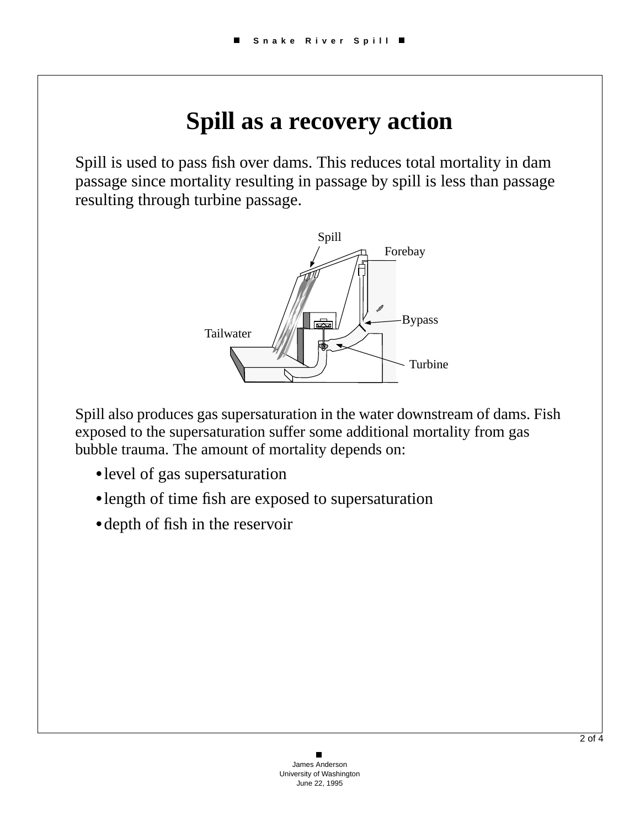## **Spill as a recovery action**

Spill is used to pass fish over dams. This reduces total mortality in dam passage since mortality resulting in passage by spill is less than passage resulting through turbine passage.



Spill also produces gas supersaturation in the water downstream of dams. Fish exposed to the supersaturation suffer some additional mortality from gas bubble trauma. The amount of mortality depends on:

- **•**level of gas supersaturation
- **•**length of time fish are exposed to supersaturation
- **•**depth of fish in the reservoir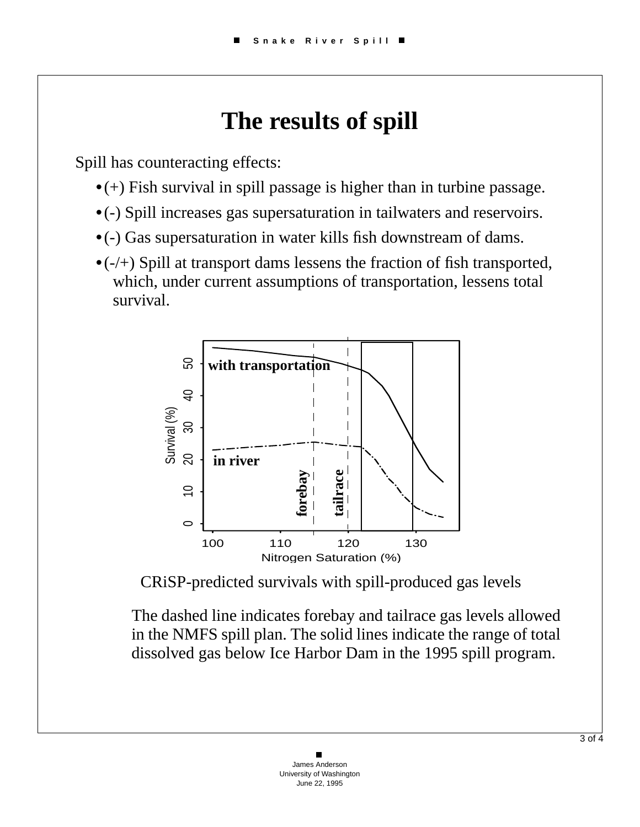## **The results of spill**

Spill has counteracting effects:

- **•**(+) Fish survival in spill passage is higher than in turbine passage.
- **•**(-) Spill increases gas supersaturation in tailwaters and reservoirs.
- **•**(-) Gas supersaturation in water kills fish downstream of dams.
- **•**(-/+) Spill at transport dams lessens the fraction of fish transported, which, under current assumptions of transportation, lessens total survival.



CRiSP-predicted survivals with spill-produced gas levels

The dashed line indicates forebay and tailrace gas levels allowed in the NMFS spill plan. The solid lines indicate the range of total dissolved gas below Ice Harbor Dam in the 1995 spill program.